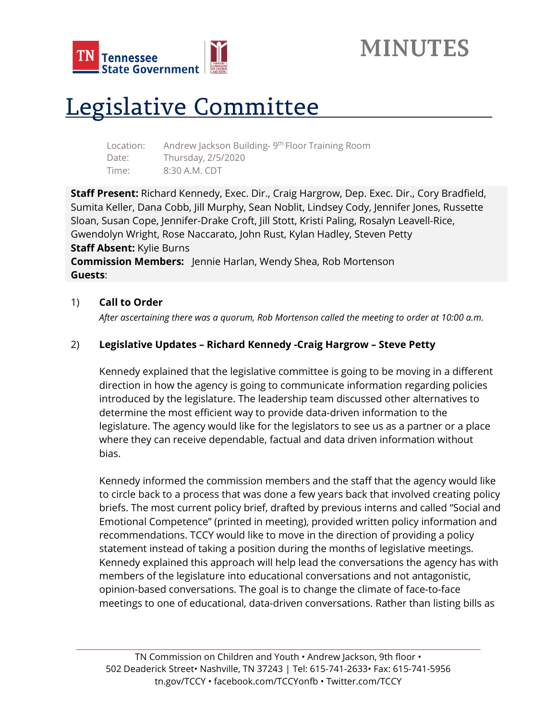

## **MINUTES**

# Legislative Committee

| Location: | Andrew Jackson Building-9 <sup>th</sup> Floor Training Room |
|-----------|-------------------------------------------------------------|
| Date:     | Thursday, 2/5/2020                                          |
| Time:     | 8:30 A.M. CDT                                               |

**Staff Present:** Richard Kennedy, Exec. Dir., Craig Hargrow, Dep. Exec. Dir., Cory Bradfield, Sumita Keller, Dana Cobb, Jill Murphy, Sean Noblit, Lindsey Cody, Jennifer Jones, Russette Sloan, Susan Cope, Jennifer-Drake Croft, Jill Stott, Kristi Paling, Rosalyn Leavell-Rice, Gwendolyn Wright, Rose Naccarato, John Rust, Kylan Hadley, Steven Petty **Staff Absent:** Kylie Burns **Commission Members:** Jennie Harlan, Wendy Shea, Rob Mortenson **Guests**:

#### 1) **Call to Order**

*After ascertaining there was a quorum, Rob Mortenson called the meeting to order at 10:00 a.m.*

## 2) **Legislative Updates – Richard Kennedy -Craig Hargrow – Steve Petty**

Kennedy explained that the legislative committee is going to be moving in a different direction in how the agency is going to communicate information regarding policies introduced by the legislature. The leadership team discussed other alternatives to determine the most efficient way to provide data-driven information to the legislature. The agency would like for the legislators to see us as a partner or a place where they can receive dependable, factual and data driven information without bias.

Kennedy informed the commission members and the staff that the agency would like to circle back to a process that was done a few years back that involved creating policy briefs. The most current policy brief, drafted by previous interns and called "Social and Emotional Competence" (printed in meeting), provided written policy information and recommendations. TCCY would like to move in the direction of providing a policy statement instead of taking a position during the months of legislative meetings. Kennedy explained this approach will help lead the conversations the agency has with members of the legislature into educational conversations and not antagonistic, opinion-based conversations. The goal is to change the climate of face-to-face meetings to one of educational, data-driven conversations. Rather than listing bills as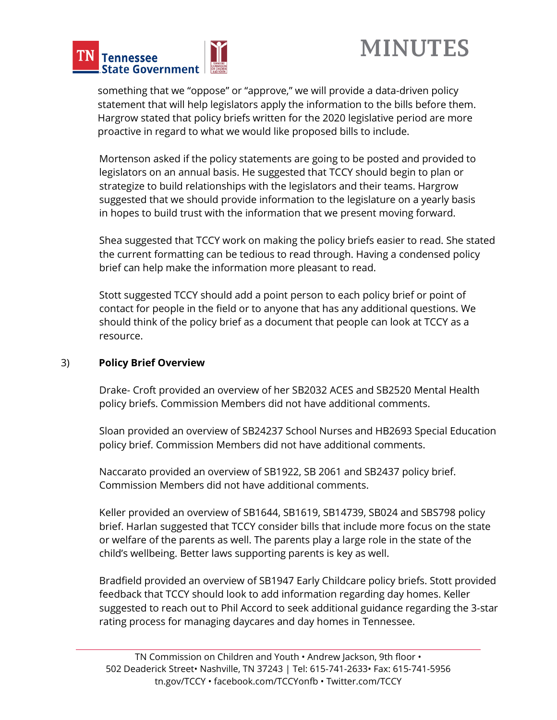



something that we "oppose" or "approve," we will provide a data-driven policy statement that will help legislators apply the information to the bills before them. Hargrow stated that policy briefs written for the 2020 legislative period are more proactive in regard to what we would like proposed bills to include.

Mortenson asked if the policy statements are going to be posted and provided to legislators on an annual basis. He suggested that TCCY should begin to plan or strategize to build relationships with the legislators and their teams. Hargrow suggested that we should provide information to the legislature on a yearly basis in hopes to build trust with the information that we present moving forward.

Shea suggested that TCCY work on making the policy briefs easier to read. She stated the current formatting can be tedious to read through. Having a condensed policy brief can help make the information more pleasant to read.

Stott suggested TCCY should add a point person to each policy brief or point of contact for people in the field or to anyone that has any additional questions. We should think of the policy brief as a document that people can look at TCCY as a resource.

#### 3) **Policy Brief Overview**

Drake- Croft provided an overview of her SB2032 ACES and SB2520 Mental Health policy briefs. Commission Members did not have additional comments.

Sloan provided an overview of SB24237 School Nurses and HB2693 Special Education policy brief. Commission Members did not have additional comments.

Naccarato provided an overview of SB1922, SB 2061 and SB2437 policy brief. Commission Members did not have additional comments.

Keller provided an overview of SB1644, SB1619, SB14739, SB024 and SBS798 policy brief. Harlan suggested that TCCY consider bills that include more focus on the state or welfare of the parents as well. The parents play a large role in the state of the child's wellbeing. Better laws supporting parents is key as well.

Bradfield provided an overview of SB1947 Early Childcare policy briefs. Stott provided feedback that TCCY should look to add information regarding day homes. Keller suggested to reach out to Phil Accord to seek additional guidance regarding the 3-star rating process for managing daycares and day homes in Tennessee.